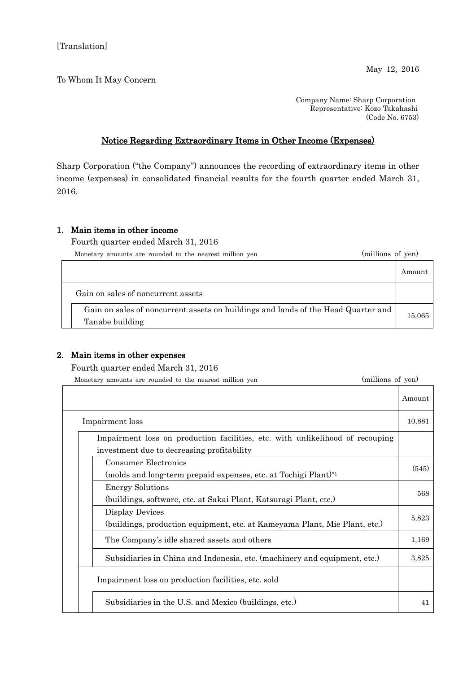### To Whom It May Concern

May 12, 2016

Company Name: Sharp Corporation Representative: Kozo Takahashi (Code No. 6753)

#### Notice Regarding Extraordinary Items in Other Income (Expenses)

Sharp Corporation ("the Company") announces the recording of extraordinary items in other income (expenses) in consolidated financial results for the fourth quarter ended March 31, 2016.

#### 1. Main items in other income

Fourth quarter ended March 31, 2016

Monetary amounts are rounded to the nearest million yen (millions of yen)

|                                                                                   | Amount |
|-----------------------------------------------------------------------------------|--------|
| Gain on sales of noncurrent assets                                                |        |
| Gain on sales of noncurrent assets on buildings and lands of the Head Quarter and |        |
| Tanabe building                                                                   | 15.065 |

#### 2. Main items in other expenses

Fourth quarter ended March 31, 2016

|                                                                                                                             | Amount |
|-----------------------------------------------------------------------------------------------------------------------------|--------|
| Impairment loss                                                                                                             | 10,881 |
| Impairment loss on production facilities, etc. with unlikelihood of recouping<br>investment due to decreasing profitability |        |
| <b>Consumer Electronics</b><br>(molds and long-term prepaid expenses, etc. at Tochigi Plant) <sup>*1</sup>                  | (545)  |
| <b>Energy Solutions</b><br>(buildings, software, etc. at Sakai Plant, Katsuragi Plant, etc.)                                | 568    |
| <b>Display Devices</b><br>(buildings, production equipment, etc. at Kameyama Plant, Mie Plant, etc.)                        | 5,823  |
| The Company's idle shared assets and others                                                                                 | 1,169  |
| Subsidiaries in China and Indonesia, etc. (machinery and equipment, etc.)                                                   | 3,825  |
| Impairment loss on production facilities, etc. sold                                                                         |        |
| Subsidiaries in the U.S. and Mexico (buildings, etc.)                                                                       | 41     |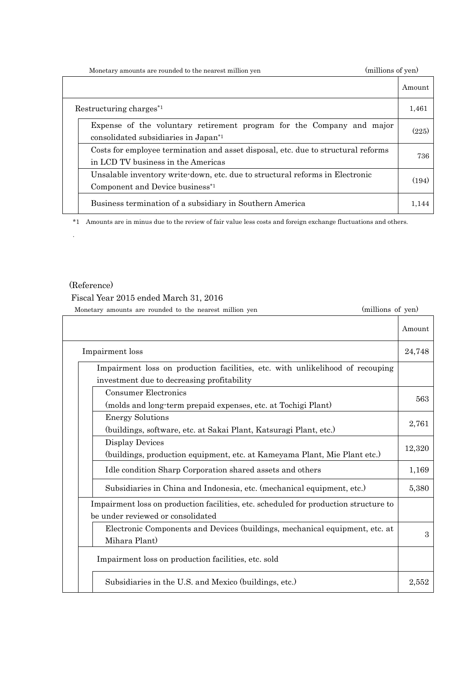Monetary amounts are rounded to the nearest million yen (millions of yen)

|                                                                                                                             | Amount |
|-----------------------------------------------------------------------------------------------------------------------------|--------|
| Restructuring charges <sup>*1</sup>                                                                                         | 1,461  |
| Expense of the voluntary retirement program for the Company and major<br>consolidated subsidiaries in Japan <sup>*1</sup>   | (225)  |
| Costs for employee termination and asset disposal, etc. due to structural reforms<br>in LCD TV business in the Americas     | 736    |
| Unsalable inventory write-down, etc. due to structural reforms in Electronic<br>Component and Device business <sup>*1</sup> | (194)  |
| Business termination of a subsidiary in Southern America                                                                    | 1.144  |

\*1 Amounts are in minus due to the review of fair value less costs and foreign exchange fluctuations and others.

## (Reference)

.

# Fiscal Year 2015 ended March 31, 2016

| (millions of yen)<br>Monetary amounts are rounded to the nearest million yen                                              |        |
|---------------------------------------------------------------------------------------------------------------------------|--------|
|                                                                                                                           | Amount |
| Impairment loss                                                                                                           | 24,748 |
| Impairment loss on production facilities, etc. with unlikelihood of recouping                                             |        |
| investment due to decreasing profitability                                                                                |        |
| <b>Consumer Electronics</b><br>(molds and long-term prepaid expenses, etc. at Tochigi Plant)                              | 563    |
| <b>Energy Solutions</b><br>(buildings, software, etc. at Sakai Plant, Katsuragi Plant, etc.)                              | 2,761  |
| <b>Display Devices</b><br>(buildings, production equipment, etc. at Kameyama Plant, Mie Plant etc.)                       | 12,320 |
| Idle condition Sharp Corporation shared assets and others                                                                 | 1,169  |
| Subsidiaries in China and Indonesia, etc. (mechanical equipment, etc.)                                                    | 5,380  |
| Impairment loss on production facilities, etc. scheduled for production structure to<br>be under reviewed or consolidated |        |
| Electronic Components and Devices (buildings, mechanical equipment, etc. at<br>Mihara Plant)                              | 3      |
| Impairment loss on production facilities, etc. sold                                                                       |        |
| Subsidiaries in the U.S. and Mexico (buildings, etc.)                                                                     | 2,552  |